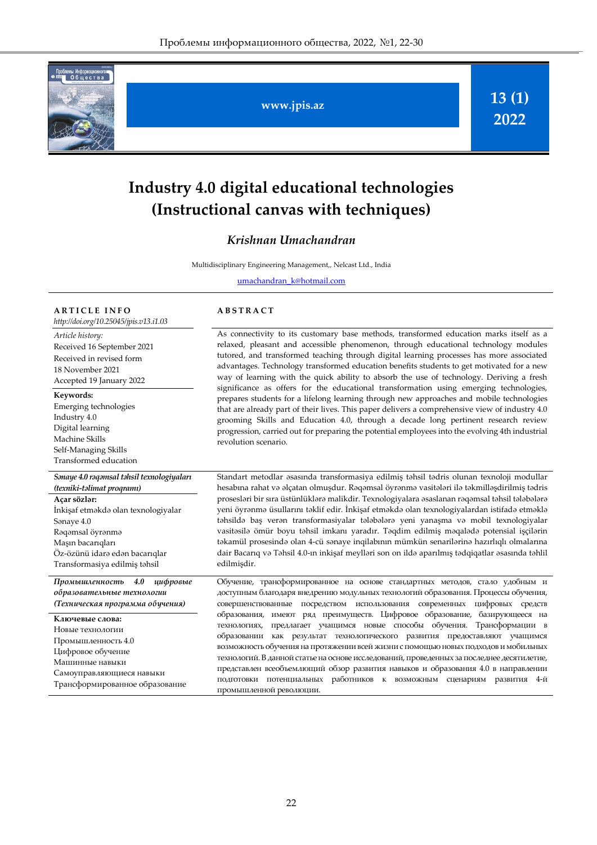

**www.jpis.az**

**13 (1) 2022**

# **Industry 4.0 digital educational technologies (Instructional canvas with techniques)**

### *Krishnan Umachandran*

Multidisciplinary Engineering Management,, Nelcast Ltd., India

[umachandran\\_k@hotmail.com](mailto:umachandran_k@hotmail.com)

#### **A R T I C L E I N F O**

*http://doi.org/10.25045/jpis.v13.i1.03*

*Article history:*  Received 16 September 2021 Received in revised form 18 November 2021 Accepted 19 January 2022

#### **Keywords:**

Emerging technologies Industry 4.0 Digital learning Machine Skills Self-Managing Skills Transformed education

### *Sənaye 4.0 rəqəmsal təhsil texnologiyaları (texniki-təlimat proqramı)*

**Açar sözlər:**  İnkişaf etməkdə olan texnologiyalar Sənaye 4.0 Rəqəmsal öyrənmə Maşın bacarıqları Öz-özünü idarə edən bacarıqlar Transformasiya edilmiş təhsil

*Промышленность 4.0 цифровые образовательные технологии (Техническая программа обучения)*

**Ключевые слова:**  Новые технологии Промышленность 4.0 Цифровое обучение Машинные навыки Самоуправляющиеся навыки Трансформированное образование

#### **A B S T R A C T**

As connectivity to its customary base methods, transformed education marks itself as a relaxed, pleasant and accessible phenomenon, through educational technology modules tutored, and transformed teaching through digital learning processes has more associated advantages. Technology transformed education benefits students to get motivated for a new way of learning with the quick ability to absorb the use of technology. Deriving a fresh significance as offers for the educational transformation using emerging technologies, prepares students for a lifelong learning through new approaches and mobile technologies that are already part of their lives. This paper delivers a comprehensive view of industry 4.0 grooming Skills and Education 4.0, through a decade long pertinent research review progression, carried out for preparing the potential employees into the evolving 4th industrial revolution scenario.

Standart metodlar əsasında transformasiya edilmiş təhsil tədris olunan texnoloji modullar hesabına rahat və əlçatan olmuşdur. Rəqəmsal öyrənmə vasitələri ilə təkmilləşdirilmiş tədris prosesləri bir sıra üstünlüklərə malikdir. Texnologiyalara əsaslanan rəqəmsal təhsil tələbələrə yeni öyrənmə üsullarını təklif edir. İnkişaf etməkdə olan texnologiyalardan istifadə etməklə təhsildə baş verən transformasiyalar tələbələrə yeni yanaşma və mobil texnologiyalar vasitəsilə ömür boyu təhsil imkanı yaradır. Təqdim edilmiş məqalədə potensial işçilərin təkamül prosesində olan 4-cü sənaye inqilabının mümkün senarilərinə hazırlıqlı olmalarına dair Bacarıq və Təhsil 4.0-ın inkişaf meylləri son on ildə aparılmış tədqiqatlar əsasında təhlil edilmişdir.

Обучение, трансформированное на основе стандартных методов, стало удобным и доступным благодаря внедрению модульных технологий образования. Процессы обучения, совершенствованные посредством использования современных цифровых средств образования, имеют ряд преимуществ. Цифровое образование, базирующееся на технологиях, предлагает учащимся новые способы обучения. Трансформации в образовании как результат технологического развития предоставляют учащимся возможность обучения на протяжении всей жизни с помощью новых подходов и мобильных технологий. В данной статье на основе исследований, проведенных за последнее десятилетие, представлен всеобъемлющий обзор развития навыков и образования 4.0 в направлении подготовки потенциальных работников к возможным сценариям развития 4-й промышленной революции.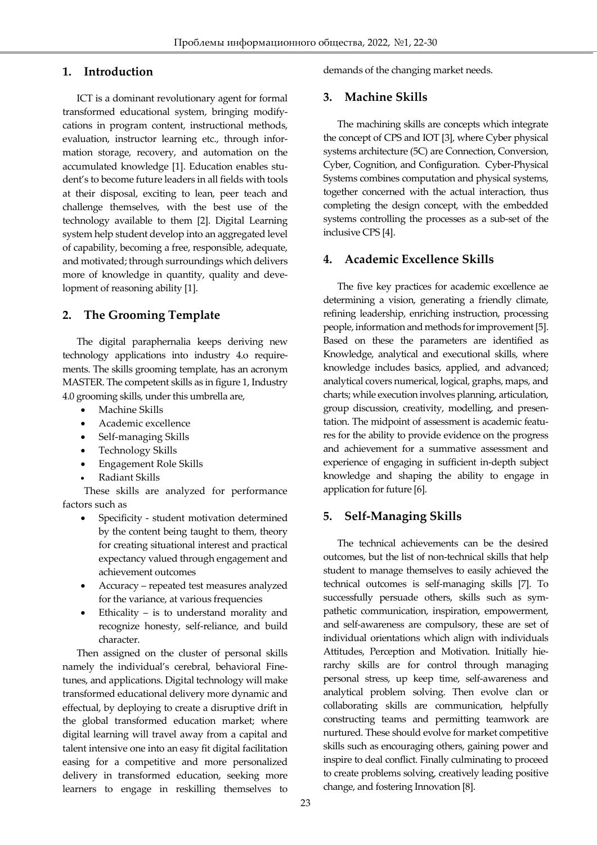# **1. Introduction**

Ī

ICT is a dominant revolutionary agent for formal transformed educational system, bringing modifycations in program content, instructional methods, evaluation, instructor learning etc., through information storage, recovery, and automation on the accumulated knowledge [1]. Education enables student's to become future leaders in all fields with tools at their disposal, exciting to lean, peer teach and challenge themselves, with the best use of the technology available to them [2]. Digital Learning system help student develop into an aggregated level of capability, becoming a free, responsible, adequate, and motivated; through surroundings which delivers more of knowledge in quantity, quality and development of reasoning ability [1].

# **2. The Grooming Template**

The digital paraphernalia keeps deriving new technology applications into industry 4.o requirements. The skills grooming template, has an acronym MASTER. The competent skills as in figure 1, Industry 4.0 grooming skills, under this umbrella are,

- Machine Skills
- Academic excellence
- Self-managing Skills
- Technology Skills
- Engagement Role Skills
- Radiant Skills

These skills are analyzed for performance factors such as

- Specificity student motivation determined by the content being taught to them, theory for creating situational interest and practical expectancy valued through engagement and achievement outcomes
- Accuracy repeated test measures analyzed for the variance, at various frequencies
- Ethicality is to understand morality and recognize honesty, self-reliance, and build character.

Then assigned on the cluster of personal skills namely the individual's cerebral, behavioral Finetunes, and applications. Digital technology will make transformed educational delivery more dynamic and effectual, by deploying to create a disruptive drift in the global transformed education market; where digital learning will travel away from a capital and talent intensive one into an easy fit digital facilitation easing for a competitive and more personalized delivery in transformed education, seeking more learners to engage in reskilling themselves to demands of the changing market needs.

# **3. Machine Skills**

The machining skills are concepts which integrate the concept of CPS and IOT [3], where Cyber physical systems architecture (5C) are Connection, Conversion, Cyber, Cognition, and Configuration. Cyber-Physical Systems combines computation and physical systems, together concerned with the actual interaction, thus completing the design concept, with the embedded systems controlling the processes as a sub-set of the inclusive CPS [4].

# **4. Academic Excellence Skills**

The five key practices for academic excellence ae determining a vision, generating a friendly climate, refining leadership, enriching instruction, processing people, information and methods for improvement [5]. Based on these the parameters are identified as Knowledge, analytical and executional skills, where knowledge includes basics, applied, and advanced; analytical covers numerical, logical, graphs, maps, and charts; while execution involves planning, articulation, group discussion, creativity, modelling, and presentation. The midpoint of assessment is academic features for the ability to provide evidence on the progress and achievement for a summative assessment and experience of engaging in sufficient in-depth subject knowledge and shaping the ability to engage in application for future [6].

# **5. Self-Managing Skills**

The technical achievements can be the desired outcomes, but the list of non-technical skills that help student to manage themselves to easily achieved the technical outcomes is self-managing skills [7]. To successfully persuade others, skills such as sympathetic communication, inspiration, empowerment, and self-awareness are compulsory, these are set of individual orientations which align with individuals Attitudes, Perception and Motivation. Initially hierarchy skills are for control through managing personal stress, up keep time, self-awareness and analytical problem solving. Then evolve clan or collaborating skills are communication, helpfully constructing teams and permitting teamwork are nurtured. These should evolve for market competitive skills such as encouraging others, gaining power and inspire to deal conflict. Finally culminating to proceed to create problems solving, creatively leading positive change, and fostering Innovation [8].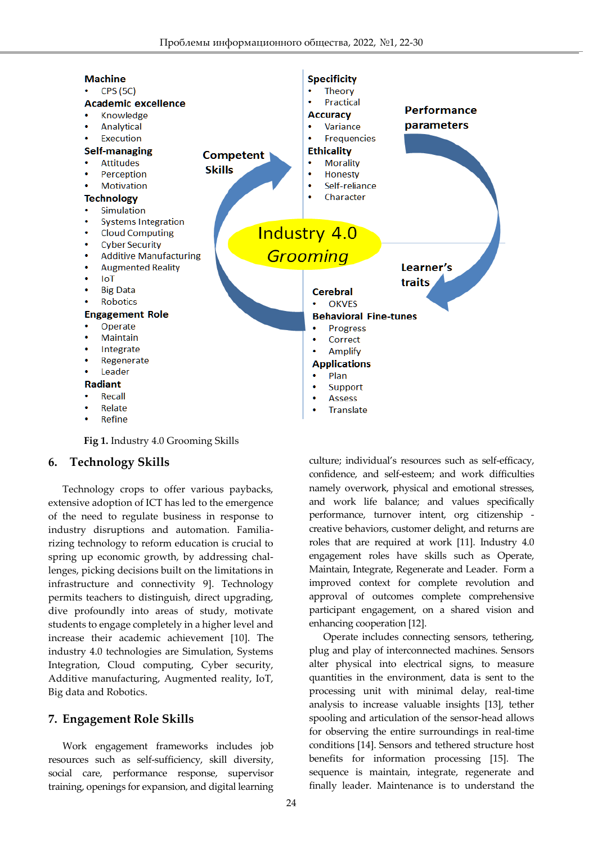

**Fig 1.** Industry 4.0 Grooming Skills

#### **6. Technology Skills**

Ī

Technology crops to offer various paybacks, extensive adoption of ICT has led to the emergence of the need to regulate business in response to industry disruptions and automation. Familiarizing technology to reform education is crucial to spring up economic growth, by addressing challenges, picking decisions built on the limitations in infrastructure and connectivity 9]. Technology permits teachers to distinguish, direct upgrading, dive profoundly into areas of study, motivate students to engage completely in a higher level and increase their academic achievement [10]. The industry 4.0 technologies are Simulation, Systems Integration, Cloud computing, Cyber security, Additive manufacturing, Augmented reality, IoT, Big data and Robotics.

#### **7. Engagement Role Skills**

Work engagement frameworks includes job resources such as self-sufficiency, skill diversity, social care, performance response, supervisor training, openings for expansion, and digital learning culture; individual's resources such as self-efficacy, confidence, and self-esteem; and work difficulties namely overwork, physical and emotional stresses, and work life balance; and values specifically performance, turnover intent, org citizenship creative behaviors, customer delight, and returns are roles that are required at work [11]. Industry 4.0 engagement roles have skills such as Operate, Maintain, Integrate, Regenerate and Leader. Form a improved context for complete revolution and approval of outcomes complete comprehensive participant engagement, on a shared vision and enhancing cooperation [12].

Operate includes connecting sensors, tethering, plug and play of interconnected machines. Sensors alter physical into electrical signs, to measure quantities in the environment, data is sent to the processing unit with minimal delay, real-time analysis to increase valuable insights [13], tether spooling and articulation of the sensor-head allows for observing the entire surroundings in real-time conditions [14]. Sensors and tethered structure host benefits for information processing [15]. The sequence is maintain, integrate, regenerate and finally leader. Maintenance is to understand the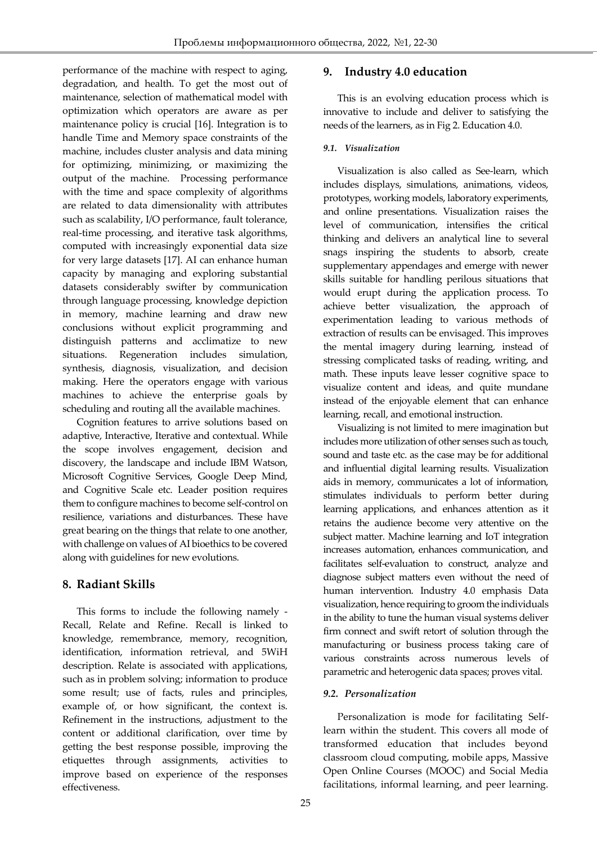performance of the machine with respect to aging, degradation, and health. To get the most out of maintenance, selection of mathematical model with optimization which operators are aware as per maintenance policy is crucial [16]. Integration is to handle Time and Memory space constraints of the machine, includes cluster analysis and data mining for optimizing, minimizing, or maximizing the output of the machine. Processing performance with the time and space complexity of algorithms are related to data dimensionality with attributes such as scalability, I/O performance, fault tolerance, real-time processing, and iterative task algorithms, computed with increasingly exponential data size for very large datasets [17]. AI can enhance human capacity by managing and exploring substantial datasets considerably swifter by communication through language processing, knowledge depiction in memory, machine learning and draw new conclusions without explicit programming and distinguish patterns and acclimatize to new situations. Regeneration includes simulation, synthesis, diagnosis, visualization, and decision making. Here the operators engage with various machines to achieve the enterprise goals by scheduling and routing all the available machines.

Cognition features to arrive solutions based on adaptive, Interactive, Iterative and contextual. While the scope involves engagement, decision and discovery, the landscape and include IBM Watson, Microsoft Cognitive Services, Google Deep Mind, and Cognitive Scale etc. Leader position requires them to configure machines to become self-control on resilience, variations and disturbances. These have great bearing on the things that relate to one another, with challenge on values of AI bioethics to be covered along with guidelines for new evolutions.

# **8. Radiant Skills**

Ī

This forms to include the following namely - Recall, Relate and Refine. Recall is linked to knowledge, remembrance, memory, recognition, identification, information retrieval, and 5WiH description. Relate is associated with applications, such as in problem solving; information to produce some result; use of facts, rules and principles, example of, or how significant, the context is. Refinement in the instructions, adjustment to the content or additional clarification, over time by getting the best response possible, improving the etiquettes through assignments, activities to improve based on experience of the responses effectiveness.

# **9. Industry 4.0 education**

This is an evolving education process which is innovative to include and deliver to satisfying the needs of the learners, as in Fig 2. Education 4.0.

### *9.1. Visualization*

Visualization is also called as See-learn, which includes displays, simulations, animations, videos, prototypes, working models, laboratory experiments, and online presentations. Visualization raises the level of communication, intensifies the critical thinking and delivers an analytical line to several snags inspiring the students to absorb, create supplementary appendages and emerge with newer skills suitable for handling perilous situations that would erupt during the application process. To achieve better visualization, the approach of experimentation leading to various methods of extraction of results can be envisaged. This improves the mental imagery during learning, instead of stressing complicated tasks of reading, writing, and math. These inputs leave lesser cognitive space to visualize content and ideas, and quite mundane instead of the enjoyable element that can enhance learning, recall, and emotional instruction.

Visualizing is not limited to mere imagination but includes more utilization of other senses such as touch, sound and taste etc. as the case may be for additional and influential digital learning results. Visualization aids in memory, communicates a lot of information, stimulates individuals to perform better during learning applications, and enhances attention as it retains the audience become very attentive on the subject matter. Machine learning and IoT integration increases automation, enhances communication, and facilitates self-evaluation to construct, analyze and diagnose subject matters even without the need of human intervention. Industry 4.0 emphasis Data visualization, hence requiring to groom the individuals in the ability to tune the human visual systems deliver firm connect and swift retort of solution through the manufacturing or business process taking care of various constraints across numerous levels of parametric and heterogenic data spaces; proves vital.

# *9.2. Personalization*

Personalization is mode for facilitating Selflearn within the student. This covers all mode of transformed education that includes beyond classroom cloud computing, mobile apps, Massive Open Online Courses (MOOC) and Social Media facilitations, informal learning, and peer learning.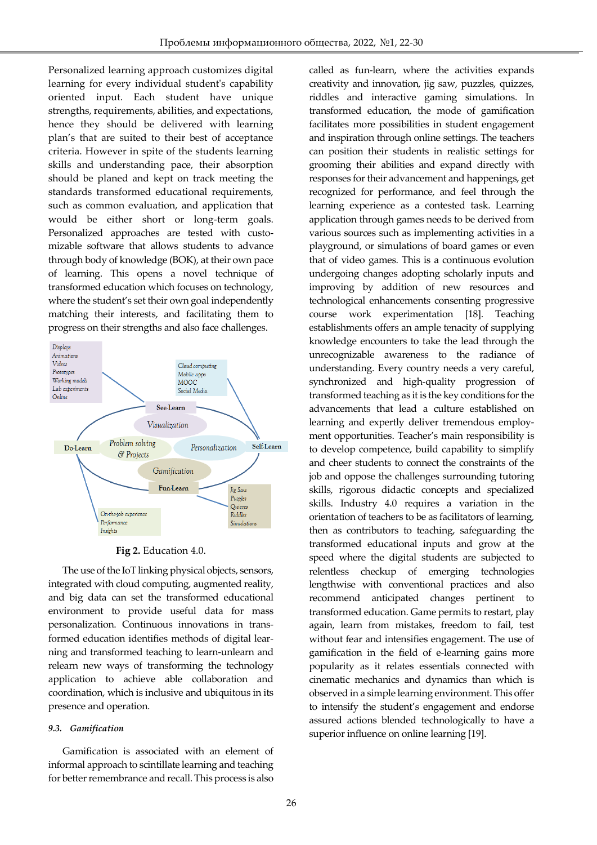Personalized learning approach customizes digital learning for every individual student's capability oriented input. Each student have unique strengths, requirements, abilities, and expectations, hence they should be delivered with learning plan's that are suited to their best of acceptance criteria. However in spite of the students learning skills and understanding pace, their absorption should be planed and kept on track meeting the standards transformed educational requirements, such as common evaluation, and application that would be either short or long-term goals. Personalized approaches are tested with customizable software that allows students to advance through body of knowledge (BOK), at their own pace of learning. This opens a novel technique of transformed education which focuses on technology, where the student's set their own goal independently matching their interests, and facilitating them to progress on their strengths and also face challenges.

Ī



#### **Fig 2.** Education 4.0.

The use of the IoT linking physical objects, sensors, integrated with cloud computing, augmented reality, and big data can set the transformed educational environment to provide useful data for mass personalization. Continuous innovations in transformed education identifies methods of digital learning and transformed teaching to learn-unlearn and relearn new ways of transforming the technology application to achieve able collaboration and coordination, which is inclusive and ubiquitous in its presence and operation.

#### *9.3. Gamification*

Gamification is associated with an element of informal approach to scintillate learning and teaching for better remembrance and recall. This process is also called as fun-learn, where the activities expands creativity and innovation, jig saw, puzzles, quizzes, riddles and interactive gaming simulations. In transformed education, the mode of gamification facilitates more possibilities in student engagement and inspiration through online settings. The teachers can position their students in realistic settings for grooming their abilities and expand directly with responses for their advancement and happenings, get recognized for performance, and feel through the learning experience as a contested task. Learning application through games needs to be derived from various sources such as implementing activities in a playground, or simulations of board games or even that of video games. This is a continuous evolution undergoing changes adopting scholarly inputs and improving by addition of new resources and technological enhancements consenting progressive course work experimentation [18]. Teaching establishments offers an ample tenacity of supplying knowledge encounters to take the lead through the unrecognizable awareness to the radiance of understanding. Every country needs a very careful, synchronized and high-quality progression of transformed teaching as it is the key conditions for the advancements that lead a culture established on learning and expertly deliver tremendous employment opportunities. Teacher's main responsibility is to develop competence, build capability to simplify and cheer students to connect the constraints of the job and oppose the challenges surrounding tutoring skills, rigorous didactic concepts and specialized skills. Industry 4.0 requires a variation in the orientation of teachers to be as facilitators of learning, then as contributors to teaching, safeguarding the transformed educational inputs and grow at the speed where the digital students are subjected to relentless checkup of emerging technologies lengthwise with conventional practices and also recommend anticipated changes pertinent to transformed education. Game permits to restart, play again, learn from mistakes, freedom to fail, test without fear and intensifies engagement. The use of gamification in the field of e-learning gains more popularity as it relates essentials connected with cinematic mechanics and dynamics than which is observed in a simple learning environment. This offer to intensify the student's engagement and endorse assured actions blended technologically to have a superior influence on online learning [19].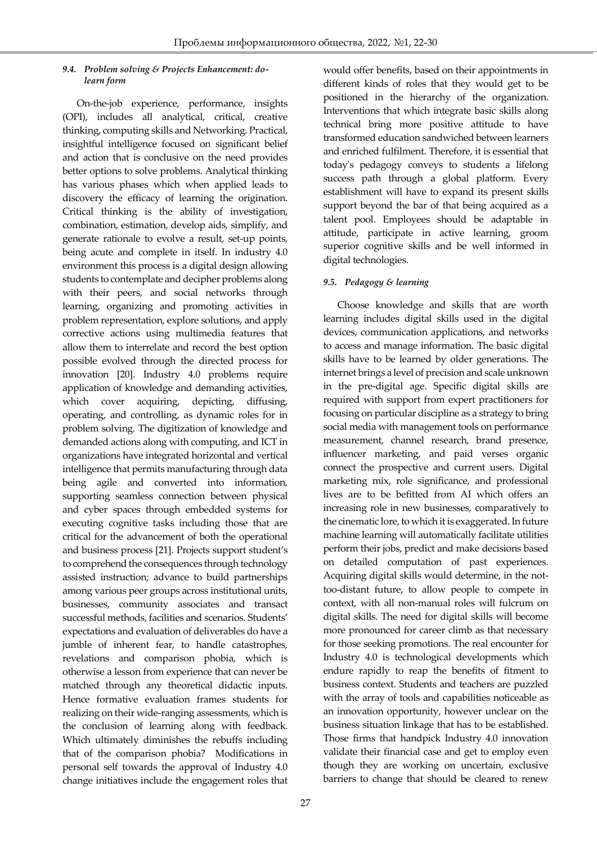#### Ī *9.4. Problem solving & Projects Enhancement: dolearn form*

On-the-job experience, performance, insights (OPI), includes all analytical, critical, creative thinking, computing skills and Networking. Practical, insightful intelligence focused on significant belief and action that is conclusive on the need provides better options to solve problems. Analytical thinking has various phases which when applied leads to discovery the efficacy of learning the origination. Critical thinking is the ability of investigation, combination, estimation, develop aids, simplify, and generate rationale to evolve a result, set-up points, being acute and complete in itself. In industry 4.0 environment this process is a digital design allowing students to contemplate and decipher problems along with their peers, and social networks through learning, organizing and promoting activities in problem representation, explore solutions, and apply corrective actions using multimedia features that allow them to interrelate and record the best option possible evolved through the directed process for innovation [20]. Industry 4.0 problems require application of knowledge and demanding activities, which cover acquiring, depicting, diffusing, operating, and controlling, as dynamic roles for in problem solving. The digitization of knowledge and demanded actions along with computing, and ICT in organizations have integrated horizontal and vertical intelligence that permits manufacturing through data being agile and converted into information, supporting seamless connection between physical and cyber spaces through embedded systems for executing cognitive tasks including those that are critical for the advancement of both the operational and business process [21]. Projects support student's to comprehend the consequences through technology assisted instruction; advance to build partnerships among various peer groups across institutional units, businesses, community associates and transact successful methods, facilities and scenarios. Students' expectations and evaluation of deliverables do have a jumble of inherent fear, to handle catastrophes, revelations and comparison phobia, which is otherwise a lesson from experience that can never be matched through any theoretical didactic inputs. Hence formative evaluation frames students for realizing on their wide-ranging assessments, which is the conclusion of learning along with feedback. Which ultimately diminishes the rebuffs including that of the comparison phobia? Modifications in personal self towards the approval of Industry 4.0 change initiatives include the engagement roles that

would offer benefits, based on their appointments in different kinds of roles that they would get to be positioned in the hierarchy of the organization. Interventions that which integrate basic skills along technical bring more positive attitude to have transformed education sandwiched between learners and enriched fulfilment. Therefore, it is essential that today's pedagogy conveys to students a lifelong success path through a global platform. Every establishment will have to expand its present skills support beyond the bar of that being acquired as a talent pool. Employees should be adaptable in attitude, participate in active learning, groom superior cognitive skills and be well informed in digital technologies.

### *9.5. Pedagogy & learning*

Choose knowledge and skills that are worth learning includes digital skills used in the digital devices, communication applications, and networks to access and manage information. The basic digital skills have to be learned by older generations. The internet brings a level of precision and scale unknown in the pre-digital age. Specific digital skills are required with support from expert practitioners for focusing on particular discipline as a strategy to bring social media with management tools on performance measurement, channel research, brand presence, influencer marketing, and paid verses organic connect the prospective and current users. Digital marketing mix, role significance, and professional lives are to be befitted from AI which offers an increasing role in new businesses, comparatively to the cinematic lore, to which it is exaggerated. In future machine learning will automatically facilitate utilities perform their jobs, predict and make decisions based on detailed computation of past experiences. Acquiring digital skills would determine, in the nottoo-distant future, to allow people to compete in context, with all non-manual roles will fulcrum on digital skills. The need for digital skills will become more pronounced for career climb as that necessary for those seeking promotions. The real encounter for Industry 4.0 is technological developments which endure rapidly to reap the benefits of fitment to business context. Students and teachers are puzzled with the array of tools and capabilities noticeable as an innovation opportunity, however unclear on the business situation linkage that has to be established. Those firms that handpick Industry 4.0 innovation validate their financial case and get to employ even though they are working on uncertain, exclusive barriers to change that should be cleared to renew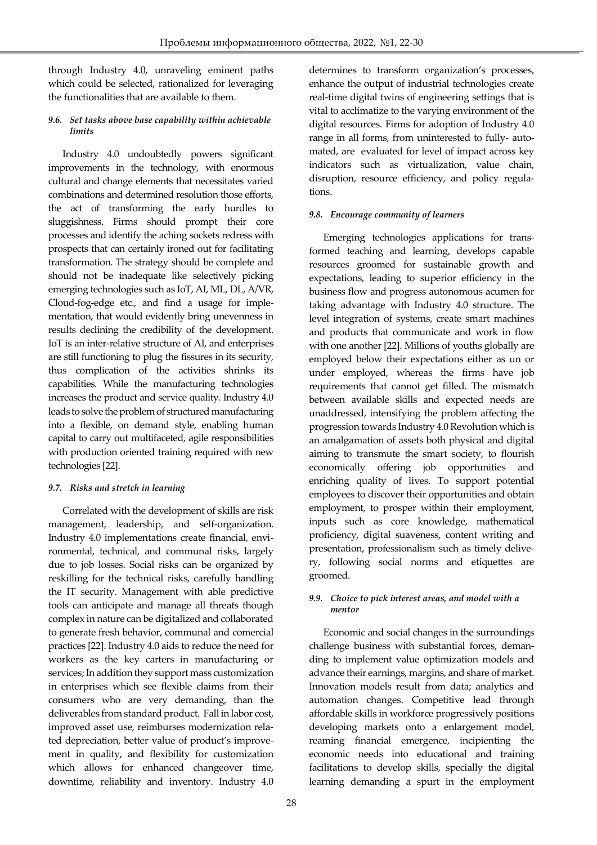through Industry 4.0, unraveling eminent paths which could be selected, rationalized for leveraging the functionalities that are available to them.

Ī

### *9.6. Set tasks above base capability within achievable limits*

Industry 4.0 undoubtedly powers significant improvements in the technology, with enormous cultural and change elements that necessitates varied combinations and determined resolution those efforts, the act of transforming the early hurdles to sluggishness. Firms should prompt their core processes and identify the aching sockets redress with prospects that can certainly ironed out for facilitating transformation. The strategy should be complete and should not be inadequate like selectively picking emerging technologies such as IoT, AI, ML, DL, A/VR, Cloud-fog-edge etc., and find a usage for implementation, that would evidently bring unevenness in results declining the credibility of the development. IoT is an inter-relative structure of AI, and enterprises are still functioning to plug the fissures in its security, thus complication of the activities shrinks its capabilities. While the manufacturing technologies increases the product and service quality. Industry 4.0 leads to solve the problem of structured manufacturing into a flexible, on demand style, enabling human capital to carry out multifaceted, agile responsibilities with production oriented training required with new technologies [22].

### *9.7. Risks and stretch in learning*

Correlated with the development of skills are risk management, leadership, and self-organization. Industry 4.0 implementations create financial, environmental, technical, and communal risks, largely due to job losses. Social risks can be organized by reskilling for the technical risks, carefully handling the IT security. Management with able predictive tools can anticipate and manage all threats though complex in nature can be digitalized and collaborated to generate fresh behavior, communal and comercial practices [22]. Industry 4.0 aids to reduce the need for workers as the key carters in manufacturing or services; In addition they support mass customization in enterprises which see flexible claims from their consumers who are very demanding, than the deliverables from standard product. Fall in labor cost, improved asset use, reimburses modernization related depreciation, better value of product's improvement in quality, and flexibility for customization which allows for enhanced changeover time, downtime, reliability and inventory. Industry 4.0

determines to transform organization's processes, enhance the output of industrial technologies create real-time digital twins of engineering settings that is vital to acclimatize to the varying environment of the digital resources. Firms for adoption of Industry 4.0 range in all forms, from uninterested to fully- automated, are evaluated for level of impact across key indicators such as virtualization, value chain, disruption, resource efficiency, and policy regulations.

### *9.8. Encourage community of learners*

Emerging technologies applications for transformed teaching and learning, develops capable resources groomed for sustainable growth and expectations, leading to superior efficiency in the business flow and progress autonomous acumen for taking advantage with Industry 4.0 structure. The level integration of systems, create smart machines and products that communicate and work in flow with one another [22]. Millions of youths globally are employed below their expectations either as un or under employed, whereas the firms have job requirements that cannot get filled. The mismatch between available skills and expected needs are unaddressed, intensifying the problem affecting the progression towards Industry 4.0 Revolution which is an amalgamation of assets both physical and digital aiming to transmute the smart society, to flourish economically offering job opportunities and enriching quality of lives. To support potential employees to discover their opportunities and obtain employment, to prosper within their employment, inputs such as core knowledge, mathematical proficiency, digital suaveness, content writing and presentation, professionalism such as timely delivery, following social norms and etiquettes are groomed.

### *9.9. Choice to pick interest areas, and model with a mentor*

Economic and social changes in the surroundings challenge business with substantial forces, demanding to implement value optimization models and advance their earnings, margins, and share of market. Innovation models result from data; analytics and automation changes. Competitive lead through affordable skills in workforce progressively positions developing markets onto a enlargement model, reaming financial emergence, incipienting the economic needs into educational and training facilitations to develop skills, specially the digital learning demanding a spurt in the employment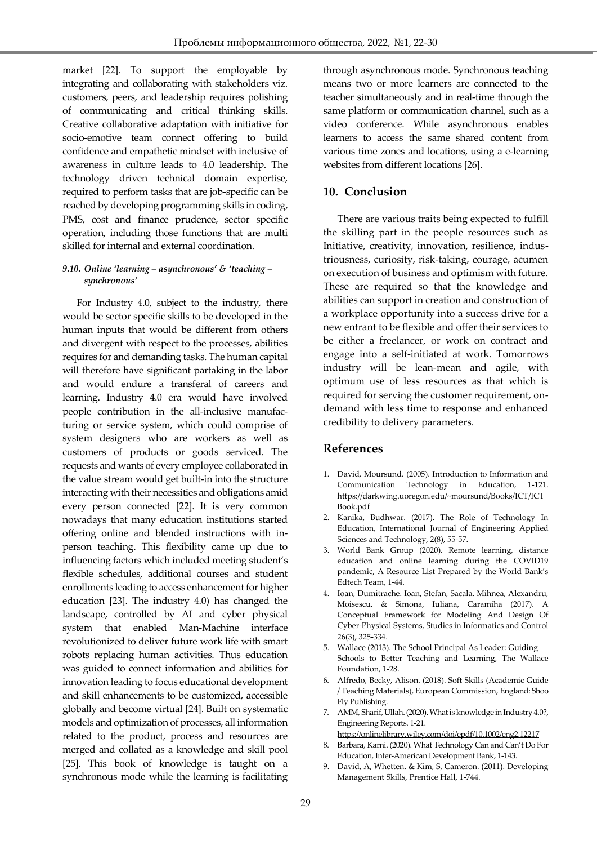market [22]. To support the employable by integrating and collaborating with stakeholders viz. customers, peers, and leadership requires polishing of communicating and critical thinking skills. Creative collaborative adaptation with initiative for socio-emotive team connect offering to build confidence and empathetic mindset with inclusive of awareness in culture leads to 4.0 leadership. The technology driven technical domain expertise, required to perform tasks that are job-specific can be reached by developing programming skills in coding, PMS, cost and finance prudence, sector specific operation, including those functions that are multi skilled for internal and external coordination.

Ī

#### *9.10. Online 'learning – asynchronous' & 'teaching – synchronous'*

For Industry 4.0, subject to the industry, there would be sector specific skills to be developed in the human inputs that would be different from others and divergent with respect to the processes, abilities requires for and demanding tasks. The human capital will therefore have significant partaking in the labor and would endure a transferal of careers and learning. Industry 4.0 era would have involved people contribution in the all-inclusive manufacturing or service system, which could comprise of system designers who are workers as well as customers of products or goods serviced. The requests and wants of every employee collaborated in the value stream would get built-in into the structure interacting with their necessities and obligations amid every person connected [22]. It is very common nowadays that many education institutions started offering online and blended instructions with inperson teaching. This flexibility came up due to influencing factors which included meeting student's flexible schedules, additional courses and student enrollments leading to access enhancement for higher education [23]. The industry 4.0) has changed the landscape, controlled by AI and cyber physical system that enabled Man-Machine interface revolutionized to deliver future work life with smart robots replacing human activities. Thus education was guided to connect information and abilities for innovation leading to focus educational development and skill enhancements to be customized, accessible globally and become virtual [24]. Built on systematic models and optimization of processes, all information related to the product, process and resources are merged and collated as a knowledge and skill pool [25]. This book of knowledge is taught on a synchronous mode while the learning is facilitating

through asynchronous mode. Synchronous teaching means two or more learners are connected to the teacher simultaneously and in real-time through the same platform or communication channel, such as a video conference. While asynchronous enables learners to access the same shared content from various time zones and locations, using a e-learning websites from different locations [26].

# **10. Conclusion**

There are various traits being expected to fulfill the skilling part in the people resources such as Initiative, creativity, innovation, resilience, industriousness, curiosity, risk-taking, courage, acumen on execution of business and optimism with future. These are required so that the knowledge and abilities can support in creation and construction of a workplace opportunity into a success drive for a new entrant to be flexible and offer their services to be either a freelancer, or work on contract and engage into a self-initiated at work. Tomorrows industry will be lean-mean and agile, with optimum use of less resources as that which is required for serving the customer requirement, ondemand with less time to response and enhanced credibility to delivery parameters.

# **References**

- 1. David, Moursund. (2005). Introduction to Information and Communication Technology in Education, 1-121. https://darkwing.uoregon.edu/~moursund/Books/ICT/ICT Book.pdf
- 2. Kanika, Budhwar. (2017). The Role of Technology In Education, International Journal of Engineering Applied Sciences and Technology, 2(8), 55-57.
- 3. World Bank Group (2020). Remote learning, distance education and online learning during the COVID19 pandemic, A Resource List Prepared by the World Bank's Edtech Team, 1-44.
- 4. Ioan, Dumitrache. Ioan, Stefan, Sacala. Mihnea, Alexandru, Moisescu. & Simona, Iuliana, Caramiha (2017). A Conceptual Framework for Modeling And Design Of Cyber-Physical Systems, Studies in Informatics and Control 26(3), 325-334.
- 5. Wallace (2013). The School Principal As Leader: Guiding Schools to Better Teaching and Learning, The Wallace Foundation, 1-28.
- 6. Alfredo, Becky, Alison. (2018). Soft Skills (Academic Guide / Teaching Materials), European Commission, England: Shoo Fly Publishing.
- 7. AMM, Sharif, Ullah. (2020). What is knowledge in Industry 4.0?, Engineering Reports. 1-21.
- <https://onlinelibrary.wiley.com/doi/epdf/10.1002/eng2.12217> 8. Barbara, Karni. (2020). What Technology Can and Can't Do For Education, Inter-American Development Bank, 1-143.
- 9. David, A, Whetten. & Kim, S, Cameron. (2011). Developing Management Skills, Prentice Hall, 1-744.